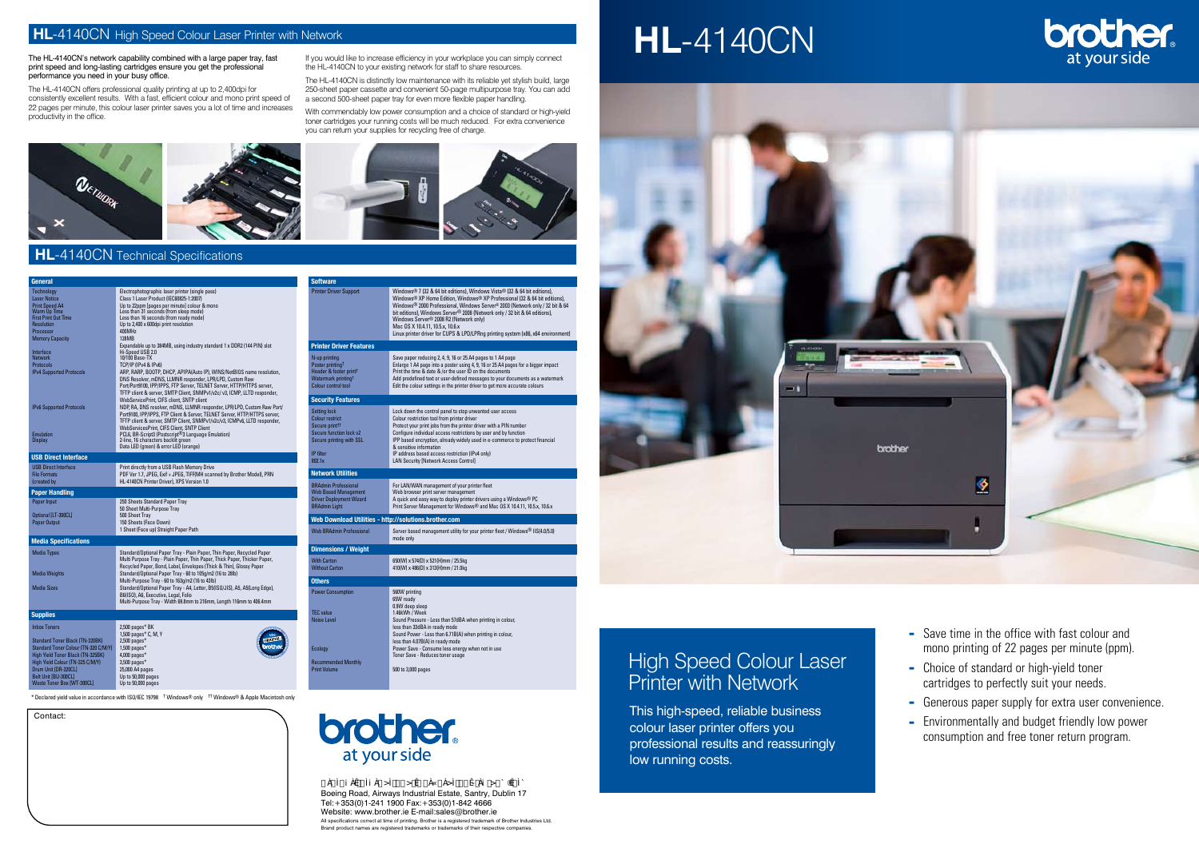## High Speed Colour Laser Printer with Network

This high-speed, reliable business colour laser printer offers you professional results and reassuringly low running costs.



Contact:

The HL-4140CN's network capability combined with a large paper tray, fast print speed and long-lasting cartridges ensure you get the professional performance you need in your busy office.

If you would like to increase efficiency in your workplace you can simply connect the HL-4140CN to your existing network for staff to share resources.

The HL-4140CN offers professional quality printing at up to 2,400dpi for consistently excellent results. With a fast, efficient colour and mono print speed of 22 pages per minute, this colour laser printer saves you a lot of time and increases productivity in the office.

> ⁄Ú) asaz Úd-2 az Ú-° O ast||-2 O ®Eil|UÑ-1|ÚO ast||-2 aC Úr OO 2 q Èrai aq Boeing Road, Airways Industrial Estate, Santry, Dublin 17

The HL-4140CN is distinctly low maintenance with its reliable yet stylish build, large 250-sheet paper cassette and convenient 50-page multipurpose tray. You can add a second 500-sheet paper tray for even more flexible paper handling.

- $\overline{\phantom{a}}$  Save time in the office with fast colour and mono printing of 22 pages per minute (ppm).
- Choice of standard or high-yield toner cartridges to perfectly suit your needs.
- Generous paper supply for extra user convenience.
- Environmentally and budget friendly low power consumption and free toner return program.

With commendably low power consumption and a choice of standard or high-yield toner cartridges your running costs will be much reduced. For extra convenience you can return your supplies for recycling free of charge.



#### **HL-4140CN** Technical Specifications

### **HL**-4140CN High Speed Colour Laser Printer with Network

Tel:+353(0)1-241 1900 Fax:+353(0)1-842 4666 Website: www.brother.ie E-mail:sales@brother.ie All specifications correct at time of printing. Brother is a registered trademark of Brother Industries Ltd.

Brand product names are registered trademarks or trademarks of their respective companies.

# **HL**-4140CN



\* Declared yield value in accordance with ISO/IEC 19798 † Windows® only †† Windows® & Apple Macintosh only



| General                                                                                                                                                                                                                 |                                                                                                                                                                                                                                                                                                                                                                                                                                     | <b>Software</b>                                                                                                                                 |                                                                                                                                                                                                                                                                                                                                                                                                                                                                                                                                        |
|-------------------------------------------------------------------------------------------------------------------------------------------------------------------------------------------------------------------------|-------------------------------------------------------------------------------------------------------------------------------------------------------------------------------------------------------------------------------------------------------------------------------------------------------------------------------------------------------------------------------------------------------------------------------------|-------------------------------------------------------------------------------------------------------------------------------------------------|----------------------------------------------------------------------------------------------------------------------------------------------------------------------------------------------------------------------------------------------------------------------------------------------------------------------------------------------------------------------------------------------------------------------------------------------------------------------------------------------------------------------------------------|
| Technology<br><b>Laser Notice</b><br><b>Print Speed A4</b><br>Warm Up Time<br><b>First Print Out Time</b><br>Resolution<br>Processor<br><b>Memory Capacity</b>                                                          | Electrophotographic laser printer (single pass)<br>Class 1 Laser Product (IEC60825-1:2007)<br>Up to 22ppm [pages per minute] colour & mono<br>Less than 31 seconds (from sleep mode)<br>Less than 16 seconds (from ready mode)<br>Up to 2,400 x 600dpi print resolution<br>400MHz<br>128MB                                                                                                                                          | <b>Printer Driver Support</b>                                                                                                                   | Windows <sup>®</sup> 7 (32 & 64 bit editions), Windows Vista <sup>®</sup> (32 & 64 bit editions),<br>Windows <sup>®</sup> XP Home Edition, Windows <sup>®</sup> XP Professional (32 & 64 bit editions),<br>Windows® 2000 Professional, Windows Server® 2003 (Network only / 32 bit & 64<br>bit editions), Windows Server® 2008 (Network only / 32 bit & 64 editions),<br>Windows Server® 2008 R2 (Network only)<br>Mac OS X 10.4.11, 10.5.x, 10.6.x<br>Linux printer driver for CUPS & LPD/LPRng printing system (x86, x64 environment |
|                                                                                                                                                                                                                         | Expandable up to 384MB, using industry standard 1 x DDR2 (144 PIN) slot                                                                                                                                                                                                                                                                                                                                                             | <b>Printer Driver Features</b>                                                                                                                  |                                                                                                                                                                                                                                                                                                                                                                                                                                                                                                                                        |
| Interface<br><b>Network</b><br><b>Protocols</b><br><b>IPv4 Supported Protocols</b>                                                                                                                                      | Hi-Speed USB 2.0<br>10/100 Base-TX<br>TCP/IP (IPv4 & IPv6)<br>ARP, RARP, BOOTP, DHCP, APIPA(Auto IP), WINS/NetBIOS name resolution,<br>DNS Resolver, mDNS, LLMNR responder, LPR/LPD, Custom Raw<br>Port/Port9100, IPP/IPPS, FTP Server, TELNET Server, HTTP/HTTPS server,<br>TFTP client & server, SMTP Client, SNMPv1/v2c/v3, ICMP, LLTD responder,                                                                                | N-up printing<br>Poster printing <sup>†</sup><br>Header & footer print <sup>†</sup><br>Watermark printing <sup>†</sup><br>Colour control tool   | Save paper reducing 2, 4, 9, 16 or 25 A4 pages to 1 A4 page<br>Enlarge 1 A4 page into a poster using 4, 9, 16 or 25 A4 pages for a bigger impact<br>Print the time & date & /or the user ID on the documents<br>Add predefined text or user-defined messages to your documents as a watermark<br>Edit the colour settings in the printer driver to get more accurate colours                                                                                                                                                           |
|                                                                                                                                                                                                                         | WebServicePrint, CIFS client, SNTP client                                                                                                                                                                                                                                                                                                                                                                                           | <b>Security Features</b>                                                                                                                        |                                                                                                                                                                                                                                                                                                                                                                                                                                                                                                                                        |
| <b>IPv6 Supported Protocols</b><br><b>Emulation</b><br><b>Display</b>                                                                                                                                                   | NDP, RA, DNS resolver, mDNS, LLMNR responder, LPR/LPD, Custom Raw Port/<br>Port9100, IPP/IPPS, FTP Client & Server, TELNET Server, HTTP/HTTPS server,<br>TFTP client & server, SMTP Client, SNMPv1/v2c/v3, ICMPv6, LLTD responder,<br>WebServicesPrint, CIFS Client, SNTP Client<br>PCL6, BR-Script3 (Postscript <sup>®</sup> 3 Language Emulation)<br>2-line, 16 characters backlit green<br>Data LED (green) & error LED (orange) | <b>Setting lock</b><br><b>Colour restrict</b><br>Secure print <sup>11</sup><br>Secure function lock v2<br>Secure printing with SSL<br>IP filter | Lock down the control panel to stop unwanted user access<br>Colour restriction tool from printer driver<br>Protect your print jobs from the printer driver with a PIN number<br>Configure individual access restrictions by user and by function<br>IPP based encryption, already widely used in e-commerce to protect financial<br>& sensitive information<br>IP address based access restriction (IPv4 only)                                                                                                                         |
| <b>USB Direct Interface</b>                                                                                                                                                                                             |                                                                                                                                                                                                                                                                                                                                                                                                                                     | 802.1x                                                                                                                                          | <b>LAN Security [Network Access Control]</b>                                                                                                                                                                                                                                                                                                                                                                                                                                                                                           |
| <b>USB Direct Interface</b><br><b>File Formats</b>                                                                                                                                                                      | Print directly from a USB Flash Memory Drive<br>PDF Ver 1.7, JPEG, Exif + JPEG, TIFF(MH scanned by Brother Model), PRN                                                                                                                                                                                                                                                                                                              | <b>Network Utilities</b>                                                                                                                        |                                                                                                                                                                                                                                                                                                                                                                                                                                                                                                                                        |
| (created by                                                                                                                                                                                                             | HL-4140CN Printer Driver), XPS Version 1.0                                                                                                                                                                                                                                                                                                                                                                                          | <b>BRAdmin Professional</b>                                                                                                                     | For LAN/WAN management of your printer fleet                                                                                                                                                                                                                                                                                                                                                                                                                                                                                           |
| <b>Paper Handling</b><br>Paper Input                                                                                                                                                                                    | 250 Sheets Standard Paper Tray<br>50 Sheet Multi-Purpose Tray                                                                                                                                                                                                                                                                                                                                                                       | <b>Web Based Management</b><br><b>Driver Deployment Wizard</b><br><b>BRAdmin Light</b>                                                          | Web browser print server management<br>A quick and easy way to deploy printer drivers using a Windows® PC<br>Print Server Management for Windows® and Mac OS X 10.4.11, 10.5.x, 10.6.x                                                                                                                                                                                                                                                                                                                                                 |
| Optional [LT-300CL]                                                                                                                                                                                                     | 500 Sheet Tray<br>150 Sheets (Face Down)                                                                                                                                                                                                                                                                                                                                                                                            | Web Download Utilities - http://solutions.brother.com                                                                                           |                                                                                                                                                                                                                                                                                                                                                                                                                                                                                                                                        |
| Paper Output<br><b>Media Specifications</b>                                                                                                                                                                             | 1 Sheet (Face up) Straight Paper Path                                                                                                                                                                                                                                                                                                                                                                                               | <b>Web BRAdmin Professional</b>                                                                                                                 | Server based management utility for your printer fleet / Windows <sup>®</sup> IIS(4.0/5.0)<br>mode only                                                                                                                                                                                                                                                                                                                                                                                                                                |
|                                                                                                                                                                                                                         |                                                                                                                                                                                                                                                                                                                                                                                                                                     | <b>Dimensions / Weight</b>                                                                                                                      |                                                                                                                                                                                                                                                                                                                                                                                                                                                                                                                                        |
| Media Types<br><b>Media Weights</b>                                                                                                                                                                                     | Standard/Optional Paper Tray - Plain Paper, Thin Paper, Recycled Paper<br>Multi Purpose Tray - Plain Paper, Thin Paper, Thick Paper, Thicker Paper,<br>Recycled Paper, Bond, Label, Envelopes (Thick & Thin), Glossy Paper<br>Standard/Optional Paper Tray - 60 to 105q/m2 (16 to 28lb)                                                                                                                                             | <b>With Carton</b><br><b>Without Carton</b>                                                                                                     | 650(W) x 574(D) x 521(H)mm / 25.5kg<br>410(W) x 486(D) x 313(H)mm / 21.0kg                                                                                                                                                                                                                                                                                                                                                                                                                                                             |
|                                                                                                                                                                                                                         | Multi-Purpose Tray - 60 to 163g/m2 (16 to 43lb)                                                                                                                                                                                                                                                                                                                                                                                     | <b>Others</b>                                                                                                                                   |                                                                                                                                                                                                                                                                                                                                                                                                                                                                                                                                        |
| <b>Media Sizes</b>                                                                                                                                                                                                      | Standard/Optional Paper Tray - A4, Letter, B5(ISO/JIS), A5, A5(Long Edge),<br>B6(ISO), A6, Executive, Legal, Folio<br>Multi-Purpose Tray - Width 69.8mm to 216mm, Length 116mm to 406.4mm                                                                                                                                                                                                                                           | <b>Power Consumption</b>                                                                                                                        | 560W printing<br>65W ready<br>0.9W deep sleep                                                                                                                                                                                                                                                                                                                                                                                                                                                                                          |
| <b>Supplies</b>                                                                                                                                                                                                         |                                                                                                                                                                                                                                                                                                                                                                                                                                     | <b>TEC</b> value                                                                                                                                | 1.46kWh / Week                                                                                                                                                                                                                                                                                                                                                                                                                                                                                                                         |
| <b>Inbox Toners</b><br>Standard Toner Black (TN-320BK)<br>Standard Toner Colour (TN-320 C/M/Y)<br>High Yield Toner Black (TN-325BK)<br>High Yield Colour (TN-325 C/M/Y)<br>Drum Unit [DR-320CL]<br>Belt Unit [BU-300CL] | $2,500$ pages* BK<br>1,500 pages* C, M, Y<br>$2,500$ pages*<br>$1,500$ pages*<br>$4,000$ pages*<br>$3,500$ pages*<br>25,000 A4 pages<br>Up to 50,000 pages                                                                                                                                                                                                                                                                          | <b>Noise Level</b><br>Ecology<br><b>Recommended Monthly</b><br><b>Print Volume</b>                                                              | Sound Pressure - Less than 57dBA when printing in colour,<br>less than 33dBA in ready mode<br>Sound Power - Less than 6.71B(A) when printing in colour,<br>less than 4.07B(A) in ready mode<br>Power Save - Consume less energy when not in use<br>Toner Save - Reduces toner usage<br>500 to 3,000 pages                                                                                                                                                                                                                              |
| <b>Waste Toner Box [WT-300CL]</b>                                                                                                                                                                                       | Up to 50,000 pages                                                                                                                                                                                                                                                                                                                                                                                                                  |                                                                                                                                                 |                                                                                                                                                                                                                                                                                                                                                                                                                                                                                                                                        |